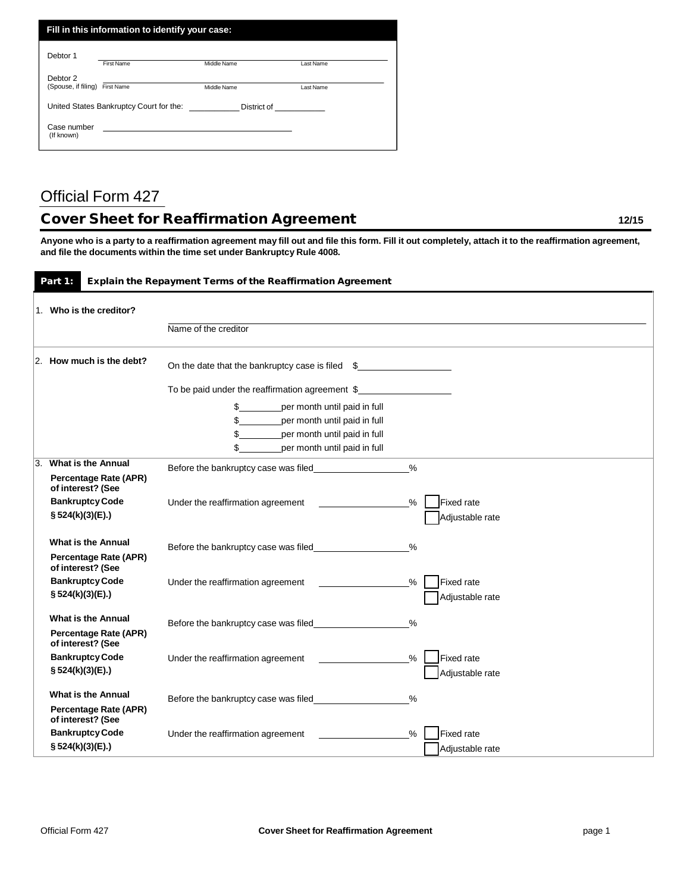| Fill in this information to identify your case:                                                                                                                                                                                                                          |                   |             |           |  |
|--------------------------------------------------------------------------------------------------------------------------------------------------------------------------------------------------------------------------------------------------------------------------|-------------------|-------------|-----------|--|
| Debtor 1                                                                                                                                                                                                                                                                 | <b>First Name</b> | Middle Name | Last Name |  |
| Debtor 2<br>(Spouse, if filing)                                                                                                                                                                                                                                          | <b>First Name</b> | Middle Name | Last Name |  |
| United States Bankruptcy Court for the:<br>District of the control of the control of the control of the control of the control of the control of the control of the control of the control of the control of the control of the control of the control of the control of |                   |             |           |  |
| Case number<br>(If known)                                                                                                                                                                                                                                                |                   |             |           |  |

## Official Form 427

## Cover Sheet for Reaffirmation Agreement **12/15** 12/15

Anyone who is a party to a reaffirmation agreement may fill out and file this form. Fill it out completely, attach it to the reaffirmation agreement, **and file the documents within the time set under Bankruptcy Rule 4008.**

## Part 1: Explain the Repayment Terms of the Reaffirmation Agreement

|    | 1. Who is the creditor?                                                 |                                                                                |
|----|-------------------------------------------------------------------------|--------------------------------------------------------------------------------|
|    |                                                                         | Name of the creditor                                                           |
|    | $ 2.$ How much is the debt?                                             | On the date that the bankruptcy case is filed \$                               |
|    |                                                                         | To be paid under the reaffirmation agreement \$                                |
|    |                                                                         | per month until paid in full<br>\$                                             |
|    |                                                                         | \$<br>per month until paid in full                                             |
|    |                                                                         | \$<br>per month until paid in full                                             |
|    |                                                                         | \$<br>per month until paid in full                                             |
| 3. | <b>What is the Annual</b>                                               | $\frac{9}{6}$                                                                  |
|    | Percentage Rate (APR)<br>of interest? (See                              |                                                                                |
|    | <b>Bankruptcy Code</b>                                                  | <b>Fixed</b> rate<br>$\%$<br>Under the reaffirmation agreement                 |
|    | § 524(k)(3)(E).)                                                        | Adjustable rate                                                                |
|    | <b>What is the Annual</b><br>Percentage Rate (APR)                      | $\frac{0}{0}$                                                                  |
|    | of interest? (See<br><b>Bankruptcy Code</b><br>§ 524(k)(3)(E).)         | Fixed rate<br>Under the reaffirmation agreement<br>%<br>Adjustable rate        |
|    | <b>What is the Annual</b><br>Percentage Rate (APR)<br>of interest? (See | %                                                                              |
|    | <b>Bankruptcy Code</b><br>§ 524(k)(3)(E).)                              | <b>Fixed rate</b><br>Under the reaffirmation agreement<br>%<br>Adjustable rate |
|    | What is the Annual<br>Percentage Rate (APR)<br>of interest? (See        | $\%$                                                                           |
|    | <b>Bankruptcy Code</b><br>§ 524(k)(3)(E).)                              | <b>Fixed rate</b><br>Under the reaffirmation agreement<br>%<br>Adiustable rate |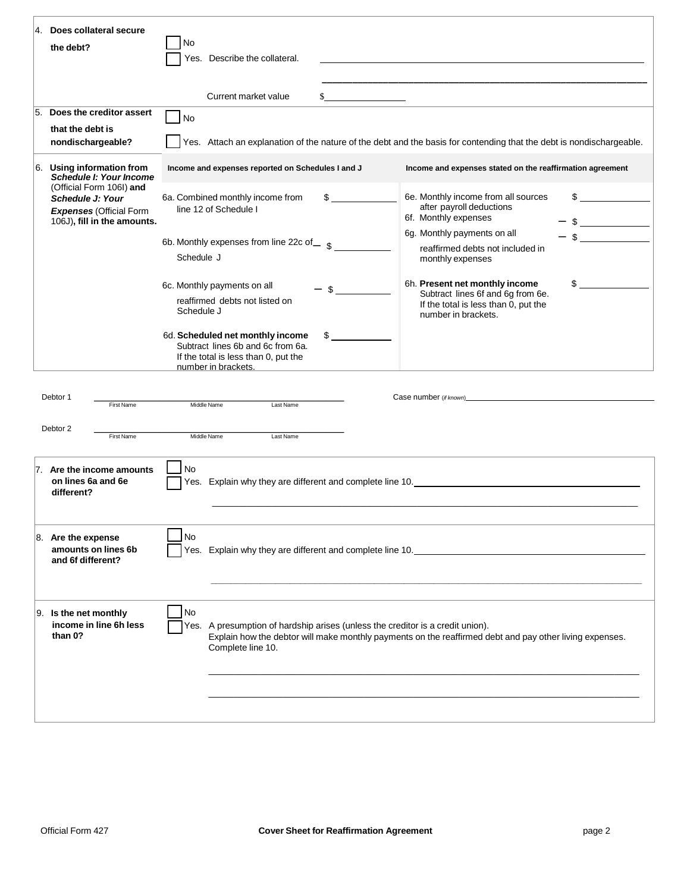| 4. Does collateral secure<br>the debt?                                                                                                                                                                                                                                                 | No<br>Describe the collateral.<br>Yes.                                                                                                                                                                               |                                                                                                                                          |  |  |
|----------------------------------------------------------------------------------------------------------------------------------------------------------------------------------------------------------------------------------------------------------------------------------------|----------------------------------------------------------------------------------------------------------------------------------------------------------------------------------------------------------------------|------------------------------------------------------------------------------------------------------------------------------------------|--|--|
|                                                                                                                                                                                                                                                                                        |                                                                                                                                                                                                                      |                                                                                                                                          |  |  |
|                                                                                                                                                                                                                                                                                        | Current market value<br><u> 1999 - Andrea Sta</u>                                                                                                                                                                    |                                                                                                                                          |  |  |
| Does the creditor assert<br>15.<br>that the debt is<br>nondischargeable?                                                                                                                                                                                                               | $\big $ No                                                                                                                                                                                                           | Yes. Attach an explanation of the nature of the debt and the basis for contending that the debt is nondischargeable.                     |  |  |
| 6. Using information from<br><b>Schedule I: Your Income</b>                                                                                                                                                                                                                            | Income and expenses reported on Schedules I and J                                                                                                                                                                    | Income and expenses stated on the reaffirmation agreement                                                                                |  |  |
| (Official Form 106I) and<br>Schedule J: Your<br><b>Expenses (Official Form</b><br>106J), fill in the amounts.                                                                                                                                                                          | 6a. Combined monthly income from<br>line 12 of Schedule I                                                                                                                                                            | 6e. Monthly income from all sources<br>\$<br>after payroll deductions<br>6f. Monthly expenses                                            |  |  |
|                                                                                                                                                                                                                                                                                        | 6b. Monthly expenses from line 22c of_ s<br>Schedule J                                                                                                                                                               | 6g. Monthly payments on all<br>reaffirmed debts not included in<br>monthly expenses                                                      |  |  |
|                                                                                                                                                                                                                                                                                        | 6c. Monthly payments on all<br>\$<br>reaffirmed debts not listed on<br>Schedule J                                                                                                                                    | 6h. Present net monthly income<br>\$<br>Subtract lines 6f and 6g from 6e.<br>If the total is less than 0, put the<br>number in brackets. |  |  |
| 6d. Scheduled net monthly income<br>\$<br>Subtract lines 6b and 6c from 6a.<br>If the total is less than 0, put the<br>number in brackets.                                                                                                                                             |                                                                                                                                                                                                                      |                                                                                                                                          |  |  |
| Debtor 1<br>Case number (if known)<br>expansion to the contract of the contract of the contract of the contract of the contract of the contract of the contract of the contract of the contract of the contract of the contract of the contr<br>Last Name<br>First Name<br>Middle Name |                                                                                                                                                                                                                      |                                                                                                                                          |  |  |
| Debtor 2<br>Middle Name<br>Last Name<br>First Name                                                                                                                                                                                                                                     |                                                                                                                                                                                                                      |                                                                                                                                          |  |  |
| 7. Are the income amounts<br>on lines 6a and 6e<br>different?                                                                                                                                                                                                                          | No                                                                                                                                                                                                                   | Yes. Explain why they are different and complete line 10. The manuscript of the state of the state of the state of                       |  |  |
| No<br>$ 8.$ Are the expense<br>amounts on lines 6b<br>Yes. Explain why they are different and complete line 10.<br>and 6f different?                                                                                                                                                   |                                                                                                                                                                                                                      |                                                                                                                                          |  |  |
| 9. Is the net monthly<br>income in line 6h less<br>than 0?                                                                                                                                                                                                                             | No<br>Yes. A presumption of hardship arises (unless the creditor is a credit union).<br>Explain how the debtor will make monthly payments on the reaffirmed debt and pay other living expenses.<br>Complete line 10. |                                                                                                                                          |  |  |
|                                                                                                                                                                                                                                                                                        |                                                                                                                                                                                                                      |                                                                                                                                          |  |  |